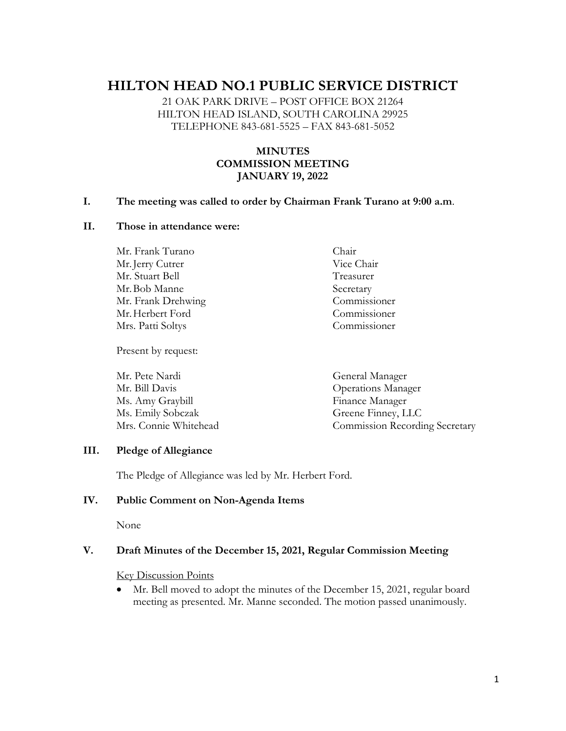# **HILTON HEAD NO.1 PUBLIC SERVICE DISTRICT**

21 OAK PARK DRIVE – POST OFFICE BOX 21264 HILTON HEAD ISLAND, SOUTH CAROLINA 29925 TELEPHONE 843-681-5525 – FAX 843-681-5052

# **MINUTES COMMISSION MEETING JANUARY 19, 2022**

#### **I. The meeting was called to order by Chairman Frank Turano at 9:00 a.m**.

#### **II. Those in attendance were:**

Mr. Frank Turano Chair Mr. Jerry Cutrer Vice Chair Mr. Stuart Bell Treasurer Mr.Bob Manne Secretary Mr. Frank Drehwing Commissioner Mr.Herbert Ford Commissioner Mrs. Patti Soltys Commissioner

Present by request:

Mr. Pete Nardi General Manager Mr. Bill Davis Operations Manager Ms. Amy Graybill Finance Manager Ms. Emily Sobczak Greene Finney, LLC Mrs. Connie Whitehead Commission Recording Secretary

#### **III. Pledge of Allegiance**

The Pledge of Allegiance was led by Mr. Herbert Ford.

#### **IV. Public Comment on Non-Agenda Items**

None

#### **V. Draft Minutes of the December 15, 2021, Regular Commission Meeting**

Key Discussion Points

• Mr. Bell moved to adopt the minutes of the December 15, 2021, regular board meeting as presented. Mr. Manne seconded. The motion passed unanimously.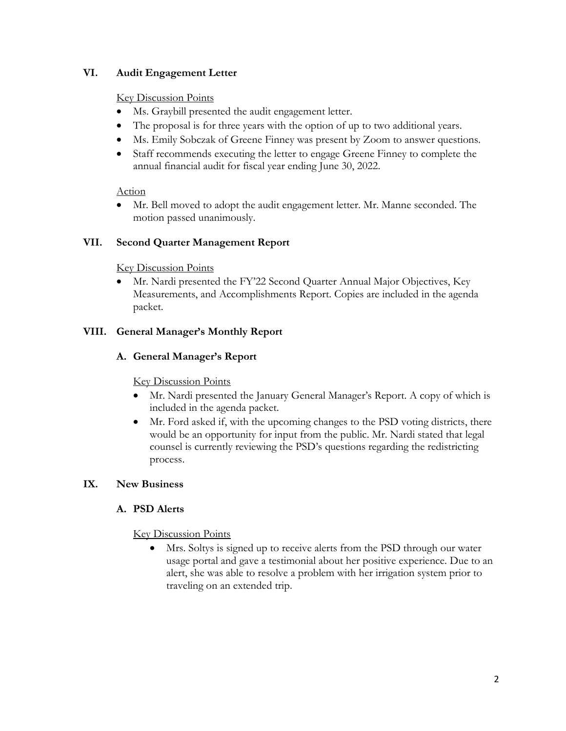# **VI. Audit Engagement Letter**

#### Key Discussion Points

- Ms. Graybill presented the audit engagement letter.
- The proposal is for three years with the option of up to two additional years.
- Ms. Emily Sobczak of Greene Finney was present by Zoom to answer questions.
- Staff recommends executing the letter to engage Greene Finney to complete the annual financial audit for fiscal year ending June 30, 2022.

# Action

• Mr. Bell moved to adopt the audit engagement letter. Mr. Manne seconded. The motion passed unanimously.

# **VII. Second Quarter Management Report**

# Key Discussion Points

• Mr. Nardi presented the FY'22 Second Quarter Annual Major Objectives, Key Measurements, and Accomplishments Report. Copies are included in the agenda packet.

# **VIII. General Manager's Monthly Report**

# **A. General Manager's Report**

# Key Discussion Points

- Mr. Nardi presented the January General Manager's Report. A copy of which is included in the agenda packet.
- Mr. Ford asked if, with the upcoming changes to the PSD voting districts, there would be an opportunity for input from the public. Mr. Nardi stated that legal counsel is currently reviewing the PSD's questions regarding the redistricting process.

# **IX. New Business**

# **A. PSD Alerts**

# Key Discussion Points

• Mrs. Soltys is signed up to receive alerts from the PSD through our water usage portal and gave a testimonial about her positive experience. Due to an alert, she was able to resolve a problem with her irrigation system prior to traveling on an extended trip.